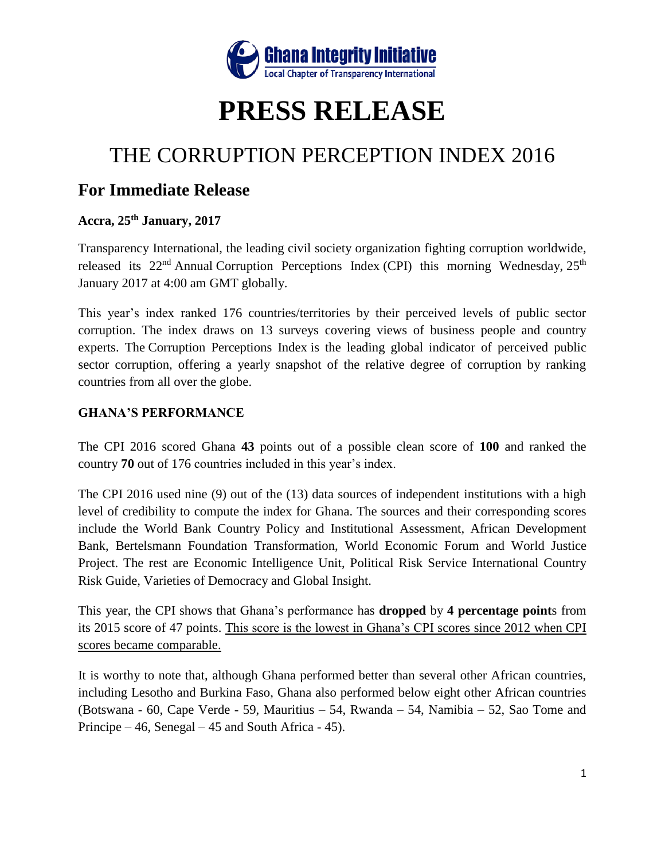

# **PRESS RELEASE**

## THE CORRUPTION PERCEPTION INDEX 2016

### **For Immediate Release**

#### **Accra, 25th January, 2017**

Transparency International, the leading civil society organization fighting corruption worldwide, released its  $22<sup>nd</sup>$  Annual Corruption Perceptions Index (CPI) this morning Wednesday,  $25<sup>th</sup>$ January 2017 at 4:00 am GMT globally.

This year's index ranked 176 countries/territories by their perceived levels of public sector corruption. The index draws on 13 surveys covering views of business people and country experts. The Corruption Perceptions Index is the leading global indicator of perceived public sector corruption, offering a yearly snapshot of the relative degree of corruption by ranking countries from all over the globe.

#### **GHANA'S PERFORMANCE**

The CPI 2016 scored Ghana **43** points out of a possible clean score of **100** and ranked the country **70** out of 176 countries included in this year's index.

The CPI 2016 used nine (9) out of the (13) data sources of independent institutions with a high level of credibility to compute the index for Ghana. The sources and their corresponding scores include the World Bank Country Policy and Institutional Assessment, African Development Bank, Bertelsmann Foundation Transformation, World Economic Forum and World Justice Project. The rest are Economic Intelligence Unit, Political Risk Service International Country Risk Guide, Varieties of Democracy and Global Insight.

This year, the CPI shows that Ghana's performance has **dropped** by **4 percentage point**s from its 2015 score of 47 points. This score is the lowest in Ghana's CPI scores since 2012 when CPI scores became comparable.

It is worthy to note that, although Ghana performed better than several other African countries, including Lesotho and Burkina Faso, Ghana also performed below eight other African countries (Botswana - 60, Cape Verde - 59, Mauritius – 54, Rwanda – 54, Namibia – 52, Sao Tome and Principe  $-46$ , Senegal  $-45$  and South Africa - 45).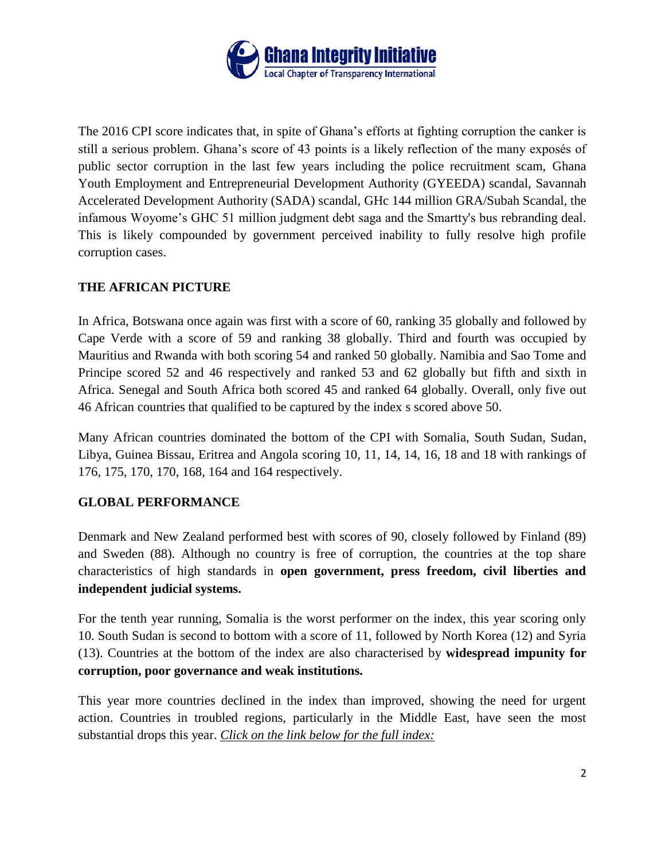

The 2016 CPI score indicates that, in spite of Ghana's efforts at fighting corruption the canker is still a serious problem. Ghana's score of 43 points is a likely reflection of the many exposés of public sector corruption in the last few years including the police recruitment scam, Ghana Youth Employment and Entrepreneurial Development Authority (GYEEDA) scandal, Savannah Accelerated Development Authority (SADA) scandal, GHc 144 million GRA/Subah Scandal, the infamous Woyome's GHC 51 million judgment debt saga and the Smartty's bus rebranding deal. This is likely compounded by government perceived inability to fully resolve high profile corruption cases.

#### **THE AFRICAN PICTURE**

In Africa, Botswana once again was first with a score of 60, ranking 35 globally and followed by Cape Verde with a score of 59 and ranking 38 globally. Third and fourth was occupied by Mauritius and Rwanda with both scoring 54 and ranked 50 globally. Namibia and Sao Tome and Principe scored 52 and 46 respectively and ranked 53 and 62 globally but fifth and sixth in Africa. Senegal and South Africa both scored 45 and ranked 64 globally. Overall, only five out 46 African countries that qualified to be captured by the index s scored above 50.

Many African countries dominated the bottom of the CPI with Somalia, South Sudan, Sudan, Libya, Guinea Bissau, Eritrea and Angola scoring 10, 11, 14, 14, 16, 18 and 18 with rankings of 176, 175, 170, 170, 168, 164 and 164 respectively.

#### **GLOBAL PERFORMANCE**

Denmark and New Zealand performed best with scores of 90, closely followed by Finland (89) and Sweden (88). Although no country is free of corruption, the countries at the top share characteristics of high standards in **open government, press freedom, civil liberties and independent judicial systems.**

For the tenth year running, Somalia is the worst performer on the index, this year scoring only 10. South Sudan is second to bottom with a score of 11, followed by North Korea (12) and Syria (13). Countries at the bottom of the index are also characterised by **widespread impunity for corruption, poor governance and weak institutions.**

This year more countries declined in the index than improved, showing the need for urgent action. Countries in troubled regions, particularly in the Middle East, have seen the most substantial drops this year. *Click on the link below for the full index:*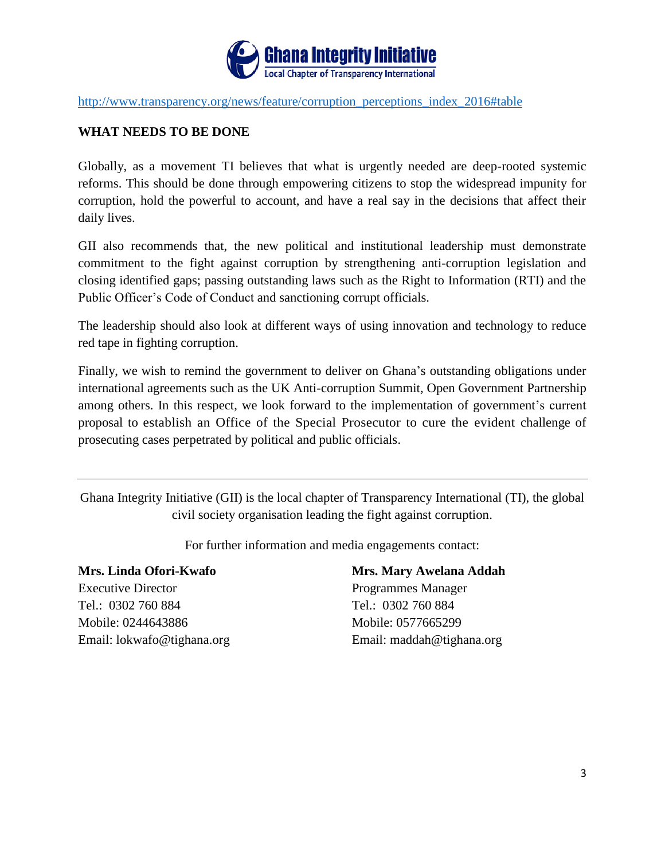

[http://www.transparency.org/news/feature/corruption\\_perceptions\\_index\\_2016#table](http://www.transparency.org/news/feature/corruption_perceptions_index_2016#table)

#### **WHAT NEEDS TO BE DONE**

Globally, as a movement TI believes that what is urgently needed are deep-rooted systemic reforms. This should be done through empowering citizens to stop the widespread impunity for corruption, hold the powerful to account, and have a real say in the decisions that affect their daily lives.

GII also recommends that, the new political and institutional leadership must demonstrate commitment to the fight against corruption by strengthening anti-corruption legislation and closing identified gaps; passing outstanding laws such as the Right to Information (RTI) and the Public Officer's Code of Conduct and sanctioning corrupt officials.

The leadership should also look at different ways of using innovation and technology to reduce red tape in fighting corruption.

Finally, we wish to remind the government to deliver on Ghana's outstanding obligations under international agreements such as the UK Anti-corruption Summit, Open Government Partnership among others. In this respect, we look forward to the implementation of government's current proposal to establish an Office of the Special Prosecutor to cure the evident challenge of prosecuting cases perpetrated by political and public officials.

Ghana Integrity Initiative (GII) is the local chapter of Transparency International (TI), the global civil society organisation leading the fight against corruption.

For further information and media engagements contact:

**Mrs. Linda Ofori-Kwafo Mrs. Mary Awelana Addah** Executive Director **Programmes Manager** Tel.: 0302 760 884 Tel.: 0302 760 884 Mobile: 0244643886 Mobile: 0577665299 Email: lokwafo@tighana.org Email: maddah@tighana.org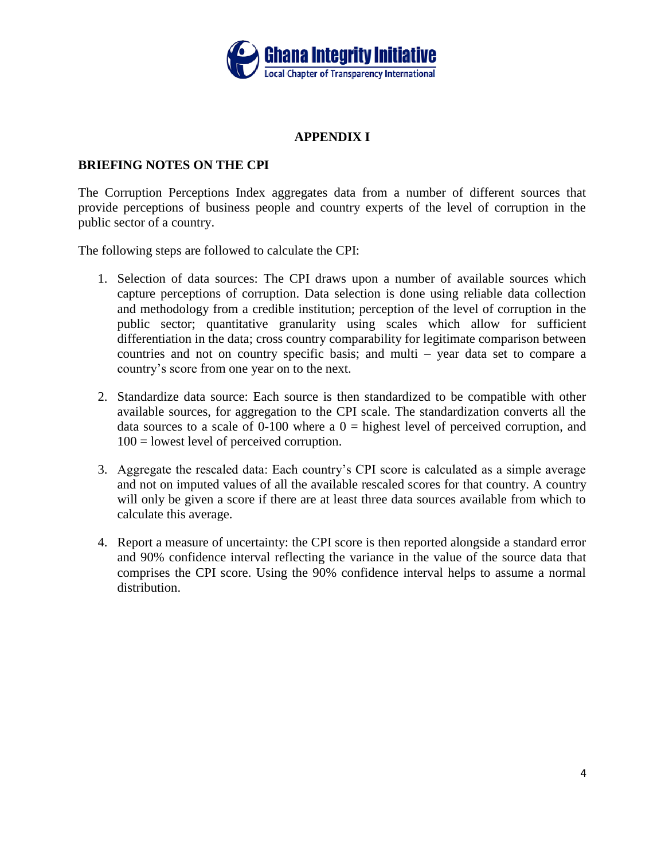

#### **APPENDIX I**

#### **BRIEFING NOTES ON THE CPI**

The Corruption Perceptions Index aggregates data from a number of different sources that provide perceptions of business people and country experts of the level of corruption in the public sector of a country.

The following steps are followed to calculate the CPI:

- 1. Selection of data sources: The CPI draws upon a number of available sources which capture perceptions of corruption. Data selection is done using reliable data collection and methodology from a credible institution; perception of the level of corruption in the public sector; quantitative granularity using scales which allow for sufficient differentiation in the data; cross country comparability for legitimate comparison between countries and not on country specific basis; and multi – year data set to compare a country's score from one year on to the next.
- 2. Standardize data source: Each source is then standardized to be compatible with other available sources, for aggregation to the CPI scale. The standardization converts all the data sources to a scale of 0-100 where a  $0 =$  highest level of perceived corruption, and 100 = lowest level of perceived corruption.
- 3. Aggregate the rescaled data: Each country's CPI score is calculated as a simple average and not on imputed values of all the available rescaled scores for that country. A country will only be given a score if there are at least three data sources available from which to calculate this average.
- 4. Report a measure of uncertainty: the CPI score is then reported alongside a standard error and 90% confidence interval reflecting the variance in the value of the source data that comprises the CPI score. Using the 90% confidence interval helps to assume a normal distribution.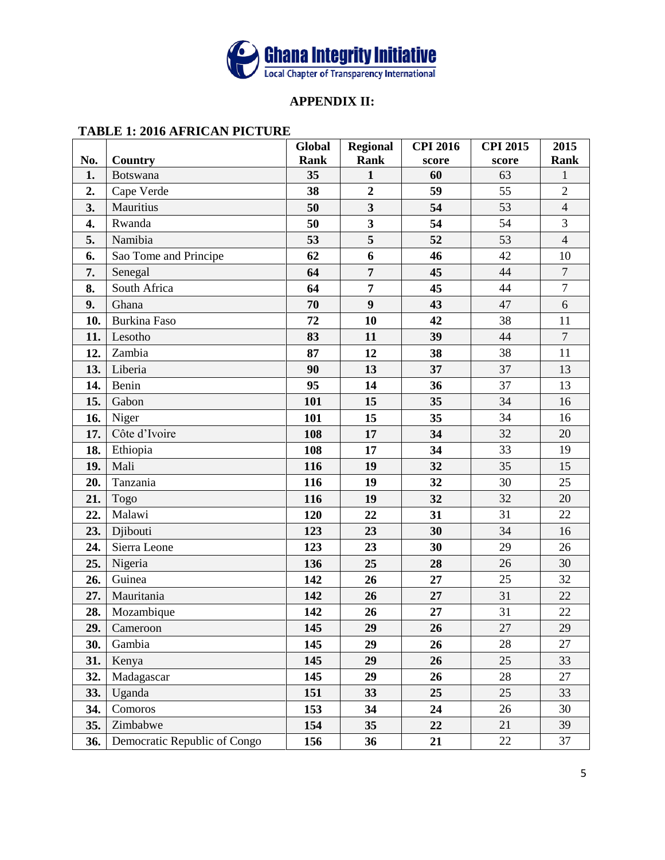

#### **APPENDIX II:**

#### **TABLE 1: 2016 AFRICAN PICTURE**

|     |                              | Global      | <b>Regional</b>         | <b>CPI 2016</b> | <b>CPI 2015</b> | 2015           |
|-----|------------------------------|-------------|-------------------------|-----------------|-----------------|----------------|
| No. | Country                      | <b>Rank</b> | <b>Rank</b>             | score           | score           | <b>Rank</b>    |
| 1.  | <b>Botswana</b>              | 35          | $\mathbf{1}$            | 60              | 63              | $\mathbf{1}$   |
| 2.  | Cape Verde                   | 38          | $\overline{2}$          | 59              | 55              | $\overline{2}$ |
| 3.  | Mauritius                    | 50          | $\overline{\mathbf{3}}$ | 54              | 53              | $\overline{4}$ |
| 4.  | Rwanda                       | 50          | $\overline{\mathbf{3}}$ | 54              | 54              | 3              |
| 5.  | Namibia                      | 53          | 5                       | 52              | 53              | $\overline{4}$ |
| 6.  | Sao Tome and Principe        | 62          | 6                       | 46              | 42              | 10             |
| 7.  | Senegal                      | 64          | $\overline{7}$          | 45              | 44              | $\overline{7}$ |
| 8.  | South Africa                 | 64          | $\overline{7}$          | 45              | 44              | $\overline{7}$ |
| 9.  | Ghana                        | 70          | $\boldsymbol{9}$        | 43              | 47              | 6              |
| 10. | <b>Burkina Faso</b>          | 72          | 10                      | 42              | 38              | 11             |
| 11. | Lesotho                      | 83          | 11                      | 39              | 44              | $\overline{7}$ |
| 12. | Zambia                       | 87          | 12                      | 38              | 38              | 11             |
| 13. | Liberia                      | 90          | 13                      | 37              | 37              | 13             |
| 14. | Benin                        | 95          | 14                      | 36              | 37              | 13             |
| 15. | Gabon                        | 101         | 15                      | 35              | 34              | 16             |
| 16. | Niger                        | 101         | 15                      | 35              | 34              | 16             |
| 17. | Côte d'Ivoire                | 108         | 17                      | 34              | 32              | 20             |
| 18. | Ethiopia                     | 108         | 17                      | 34              | 33              | 19             |
| 19. | Mali                         | 116         | 19                      | 32              | 35              | 15             |
| 20. | Tanzania                     | 116         | 19                      | 32              | 30              | 25             |
| 21. | Togo                         | 116         | 19                      | 32              | 32              | 20             |
| 22. | Malawi                       | 120         | 22                      | 31              | 31              | 22             |
| 23. | Djibouti                     | 123         | 23                      | 30              | 34              | 16             |
| 24. | Sierra Leone                 | 123         | 23                      | 30              | 29              | 26             |
| 25. | Nigeria                      | 136         | 25                      | 28              | 26              | 30             |
| 26. | Guinea                       | 142         | 26                      | 27              | 25              | 32             |
| 27. | Mauritania                   | 142         | 26                      | 27              | 31              | 22             |
| 28. | Mozambique                   | 142         | 26                      | 27              | 31              | 22             |
| 29. | Cameroon                     | 145         | 29                      | 26              | $\overline{27}$ | 29             |
| 30. | Gambia                       | 145         | 29                      | 26              | 28              | 27             |
| 31. | Kenya                        | 145         | 29                      | 26              | 25              | 33             |
| 32. | Madagascar                   | 145         | 29                      | 26              | 28              | 27             |
| 33. | Uganda                       | 151         | 33                      | 25              | 25              | 33             |
| 34. | Comoros                      | 153         | 34                      | 24              | 26              | 30             |
| 35. | Zimbabwe                     | 154         | 35                      | 22              | 21              | 39             |
| 36. | Democratic Republic of Congo | 156         | 36                      | 21              | 22              | 37             |